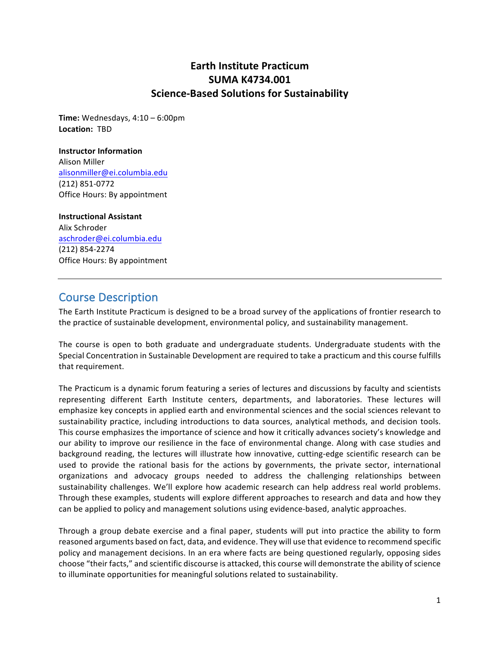### **Earth Institute Practicum SUMA K4734.001 Science-Based Solutions for Sustainability**

**Time:** Wednesdays, 4:10 – 6:00pm **Location:** TBD

#### **Instructor Information**

Alison Miller alisonmiller@ei.columbia.edu (212) 851-0772 Office Hours: By appointment

#### **Instructional Assistant**

Alix Schroder aschroder@ei.columbia.edu (212) 854-2274 Office Hours: By appointment

### Course Description

The Earth Institute Practicum is designed to be a broad survey of the applications of frontier research to the practice of sustainable development, environmental policy, and sustainability management.

The course is open to both graduate and undergraduate students. Undergraduate students with the Special Concentration in Sustainable Development are required to take a practicum and this course fulfills that requirement.

The Practicum is a dynamic forum featuring a series of lectures and discussions by faculty and scientists representing different Earth Institute centers, departments, and laboratories. These lectures will emphasize key concepts in applied earth and environmental sciences and the social sciences relevant to sustainability practice, including introductions to data sources, analytical methods, and decision tools. This course emphasizes the importance of science and how it critically advances society's knowledge and our ability to improve our resilience in the face of environmental change. Along with case studies and background reading, the lectures will illustrate how innovative, cutting-edge scientific research can be used to provide the rational basis for the actions by governments, the private sector, international organizations and advocacy groups needed to address the challenging relationships between sustainability challenges. We'll explore how academic research can help address real world problems. Through these examples, students will explore different approaches to research and data and how they can be applied to policy and management solutions using evidence-based, analytic approaches.

Through a group debate exercise and a final paper, students will put into practice the ability to form reasoned arguments based on fact, data, and evidence. They will use that evidence to recommend specific policy and management decisions. In an era where facts are being questioned regularly, opposing sides choose "their facts," and scientific discourse is attacked, this course will demonstrate the ability of science to illuminate opportunities for meaningful solutions related to sustainability.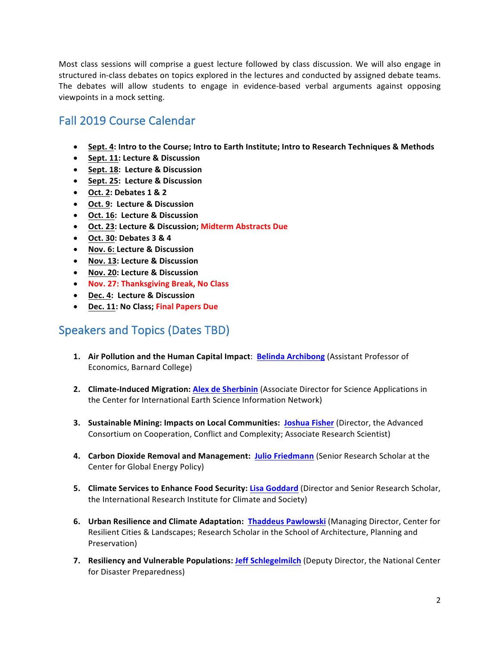Most class sessions will comprise a guest lecture followed by class discussion. We will also engage in structured in-class debates on topics explored in the lectures and conducted by assigned debate teams. The debates will allow students to engage in evidence-based verbal arguments against opposing viewpoints in a mock setting.

# Fall 2019 Course Calendar

- Sept. 4: Intro to the Course; Intro to Earth Institute; Intro to Research Techniques & Methods
- **Sept. 11: Lecture & Discussion**
- **Sept. 18: Lecture & Discussion**
- **Sept. 25: Lecture & Discussion**
- **Oct. 2: Debates 1 & 2**
- **Oct. 9: Lecture & Discussion**
- **Oct. 16: Lecture & Discussion**
- **Oct. 23: Lecture & Discussion; Midterm Abstracts Due**
- **Oct. 30: Debates 3 & 4**
- **Nov. 6: Lecture & Discussion**
- **Nov. 13: Lecture & Discussion**
- **Nov. 20: Lecture & Discussion**
- **Nov. 27: Thanksgiving Break, No Class**
- **Dec. 4: Lecture & Discussion**
- **Dec. 11: No Class; Final Papers Due**

# Speakers and Topics (Dates TBD)

- **1.** Air Pollution and the Human Capital Impact: Belinda Archibong (Assistant Professor of Economics, Barnard College)
- **2. Climate-Induced Migration: Alex de Sherbinin** (Associate Director for Science Applications in the Center for International Earth Science Information Network)
- **3.** Sustainable Mining: Impacts on Local Communities: Joshua Fisher (Director, the Advanced Consortium on Cooperation, Conflict and Complexity; Associate Research Scientist)
- **4. Carbon Dioxide Removal and Management: Julio Friedmann** (Senior Research Scholar at the Center for Global Energy Policy)
- **5. Climate Services to Enhance Food Security: Lisa Goddard (Director and Senior Research Scholar,** the International Research Institute for Climate and Society)
- **6.** Urban Resilience and Climate Adaptation: Thaddeus Pawlowski (Managing Director, Center for Resilient Cities & Landscapes; Research Scholar in the School of Architecture, Planning and Preservation)
- **7.** Resiliency and Vulnerable Populations: Jeff Schlegelmilch (Deputy Director, the National Center for Disaster Preparedness)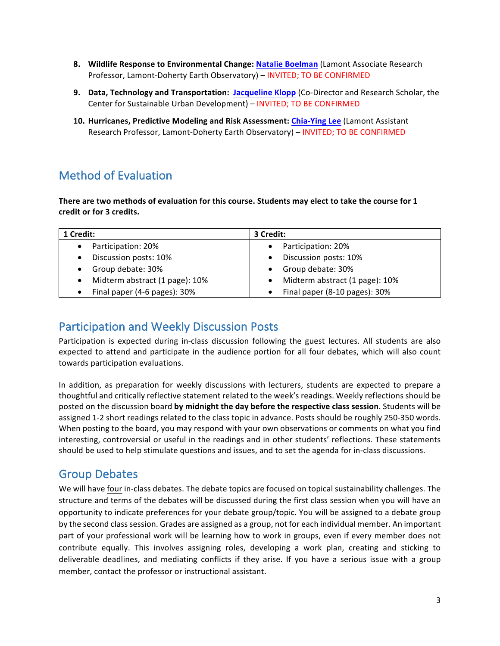- **8.** Wildlife Response to Environmental Change: Natalie Boelman (Lamont Associate Research Professor, Lamont-Doherty Earth Observatory) - INVITED; TO BE CONFIRMED
- **9.** Data, Technology and Transportation: Jacqueline Klopp (Co-Director and Research Scholar, the Center for Sustainable Urban Development) - INVITED; TO BE CONFIRMED
- 10. Hurricanes, Predictive Modeling and Risk Assessment: **Chia-Ying Lee** (Lamont Assistant Research Professor, Lamont-Doherty Earth Observatory) – INVITED; TO BE CONFIRMED

# Method of Evaluation

There are two methods of evaluation for this course. Students may elect to take the course for 1 **credit or for 3 credits.**

| 1 Credit:                                   | 3 Credit:                      |
|---------------------------------------------|--------------------------------|
| Participation: 20%                          | Participation: 20%             |
| Discussion posts: 10%                       | Discussion posts: 10%          |
| Group debate: 30%                           | Group debate: 30%              |
| Midterm abstract (1 page): 10%<br>$\bullet$ | Midterm abstract (1 page): 10% |
| Final paper (4-6 pages): 30%<br>$\bullet$   | Final paper (8-10 pages): 30%  |

### Participation and Weekly Discussion Posts

Participation is expected during in-class discussion following the guest lectures. All students are also expected to attend and participate in the audience portion for all four debates, which will also count towards participation evaluations.

In addition, as preparation for weekly discussions with lecturers, students are expected to prepare a thoughtful and critically reflective statement related to the week's readings. Weekly reflections should be posted on the discussion board by midnight the day before the respective class session. Students will be assigned 1-2 short readings related to the class topic in advance. Posts should be roughly 250-350 words. When posting to the board, you may respond with your own observations or comments on what you find interesting, controversial or useful in the readings and in other students' reflections. These statements should be used to help stimulate questions and issues, and to set the agenda for in-class discussions.

# Group Debates

We will have <u>four</u> in-class debates. The debate topics are focused on topical sustainability challenges. The structure and terms of the debates will be discussed during the first class session when you will have an opportunity to indicate preferences for your debate group/topic. You will be assigned to a debate group by the second class session. Grades are assigned as a group, not for each individual member. An important part of your professional work will be learning how to work in groups, even if every member does not contribute equally. This involves assigning roles, developing a work plan, creating and sticking to deliverable deadlines, and mediating conflicts if they arise. If you have a serious issue with a group member, contact the professor or instructional assistant.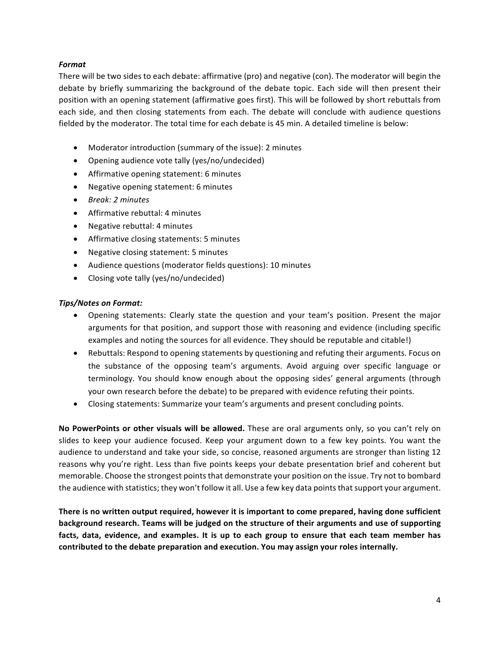### *Format*

There will be two sides to each debate: affirmative (pro) and negative (con). The moderator will begin the debate by briefly summarizing the background of the debate topic. Each side will then present their position with an opening statement (affirmative goes first). This will be followed by short rebuttals from each side, and then closing statements from each. The debate will conclude with audience questions fielded by the moderator. The total time for each debate is 45 min. A detailed timeline is below:

- Moderator introduction (summary of the issue): 2 minutes
- Opening audience vote tally (yes/no/undecided)
- Affirmative opening statement: 6 minutes
- Negative opening statement: 6 minutes
- *Break: 2 minutes*
- $\bullet$  Affirmative rebuttal: 4 minutes
- Negative rebuttal: 4 minutes
- Affirmative closing statements: 5 minutes
- Negative closing statement: 5 minutes
- Audience questions (moderator fields questions): 10 minutes
- Closing vote tally (yes/no/undecided)

#### *Tips/Notes on Format:*

- Opening statements: Clearly state the question and your team's position. Present the major arguments for that position, and support those with reasoning and evidence (including specific examples and noting the sources for all evidence. They should be reputable and citable!)
- Rebuttals: Respond to opening statements by questioning and refuting their arguments. Focus on the substance of the opposing team's arguments. Avoid arguing over specific language or terminology. You should know enough about the opposing sides' general arguments (through your own research before the debate) to be prepared with evidence refuting their points.
- Closing statements: Summarize your team's arguments and present concluding points.

**No PowerPoints or other visuals will be allowed.** These are oral arguments only, so you can't rely on slides to keep your audience focused. Keep your argument down to a few key points. You want the audience to understand and take your side, so concise, reasoned arguments are stronger than listing 12 reasons why you're right. Less than five points keeps your debate presentation brief and coherent but memorable. Choose the strongest points that demonstrate your position on the issue. Try not to bombard the audience with statistics; they won't follow it all. Use a few key data points that support your argument.

There is no written output required, however it is important to come prepared, having done sufficient **background research.** Teams will be judged on the structure of their arguments and use of supporting facts, data, evidence, and examples. It is up to each group to ensure that each team member has contributed to the debate preparation and execution. You may assign your roles internally.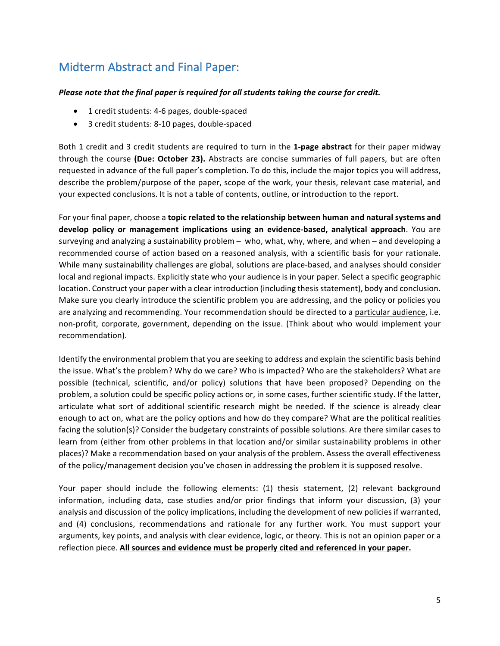# Midterm Abstract and Final Paper:

### *Please note that the final paper is required for all students taking the course for credit.*

- 1 credit students: 4-6 pages, double-spaced
- 3 credit students: 8-10 pages, double-spaced

Both 1 credit and 3 credit students are required to turn in the 1-page abstract for their paper midway through the course (Due: October 23). Abstracts are concise summaries of full papers, but are often requested in advance of the full paper's completion. To do this, include the major topics you will address, describe the problem/purpose of the paper, scope of the work, your thesis, relevant case material, and your expected conclusions. It is not a table of contents, outline, or introduction to the report.

For your final paper, choose a **topic related to the relationship between human and natural systems and develop** policy or management implications using an evidence-based, analytical approach. You are surveying and analyzing a sustainability problem – who, what, why, where, and when – and developing a recommended course of action based on a reasoned analysis, with a scientific basis for your rationale. While many sustainability challenges are global, solutions are place-based, and analyses should consider local and regional impacts. Explicitly state who your audience is in your paper. Select a specific geographic location. Construct your paper with a clear introduction (including thesis statement), body and conclusion. Make sure you clearly introduce the scientific problem you are addressing, and the policy or policies you are analyzing and recommending. Your recommendation should be directed to a particular audience, i.e. non-profit, corporate, government, depending on the issue. (Think about who would implement your recommendation).

Identify the environmental problem that you are seeking to address and explain the scientific basis behind the issue. What's the problem? Why do we care? Who is impacted? Who are the stakeholders? What are possible (technical, scientific, and/or policy) solutions that have been proposed? Depending on the problem, a solution could be specific policy actions or, in some cases, further scientific study. If the latter, articulate what sort of additional scientific research might be needed. If the science is already clear enough to act on, what are the policy options and how do they compare? What are the political realities facing the solution(s)? Consider the budgetary constraints of possible solutions. Are there similar cases to learn from (either from other problems in that location and/or similar sustainability problems in other places)? Make a recommendation based on your analysis of the problem. Assess the overall effectiveness of the policy/management decision you've chosen in addressing the problem it is supposed resolve.

Your paper should include the following elements: (1) thesis statement, (2) relevant background information, including data, case studies and/or prior findings that inform your discussion, (3) your analysis and discussion of the policy implications, including the development of new policies if warranted, and (4) conclusions, recommendations and rationale for any further work. You must support your arguments, key points, and analysis with clear evidence, logic, or theory. This is not an opinion paper or a reflection piece. All sources and evidence must be properly cited and referenced in your paper.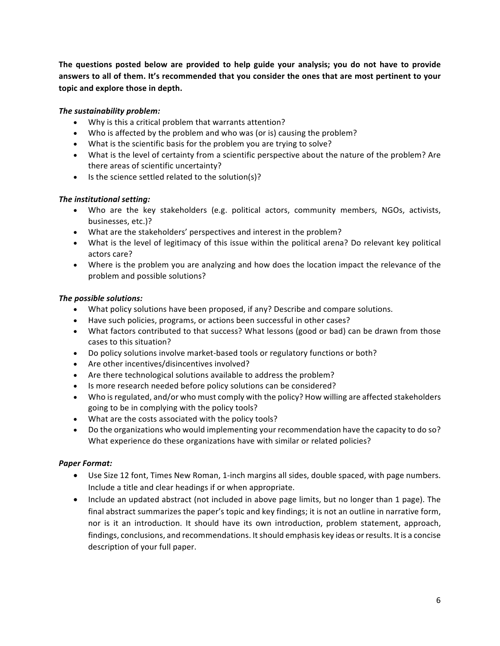**The questions posted below are provided to help guide your analysis; you do not have to provide** answers to all of them. It's recommended that you consider the ones that are most pertinent to your topic and explore those in depth.

### *The sustainability problem:*

- Why is this a critical problem that warrants attention?
- Who is affected by the problem and who was (or is) causing the problem?
- What is the scientific basis for the problem you are trying to solve?
- What is the level of certainty from a scientific perspective about the nature of the problem? Are there areas of scientific uncertainty?
- Is the science settled related to the solution(s)?

### **The institutional setting:**

- Who are the key stakeholders (e.g. political actors, community members, NGOs, activists, businesses, etc.)?
- What are the stakeholders' perspectives and interest in the problem?
- What is the level of legitimacy of this issue within the political arena? Do relevant key political actors care?
- Where is the problem you are analyzing and how does the location impact the relevance of the problem and possible solutions?

#### *The possible solutions:*

- What policy solutions have been proposed, if any? Describe and compare solutions.
- Have such policies, programs, or actions been successful in other cases?
- What factors contributed to that success? What lessons (good or bad) can be drawn from those cases to this situation?
- Do policy solutions involve market-based tools or regulatory functions or both?
- Are other incentives/disincentives involved?
- Are there technological solutions available to address the problem?
- Is more research needed before policy solutions can be considered?
- Who is regulated, and/or who must comply with the policy? How willing are affected stakeholders going to be in complying with the policy tools?
- What are the costs associated with the policy tools?
- Do the organizations who would implementing your recommendation have the capacity to do so? What experience do these organizations have with similar or related policies?

#### *Paper Format:*

- Use Size 12 font, Times New Roman, 1-inch margins all sides, double spaced, with page numbers. Include a title and clear headings if or when appropriate.
- Include an updated abstract (not included in above page limits, but no longer than 1 page). The final abstract summarizes the paper's topic and key findings; it is not an outline in narrative form, nor is it an introduction. It should have its own introduction, problem statement, approach, findings, conclusions, and recommendations. It should emphasis key ideas or results. It is a concise description of your full paper.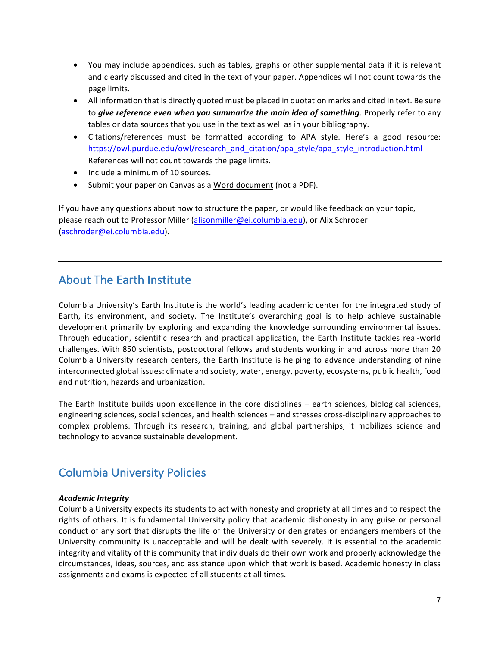- You may include appendices, such as tables, graphs or other supplemental data if it is relevant and clearly discussed and cited in the text of your paper. Appendices will not count towards the page limits.
- All information that is directly quoted must be placed in quotation marks and cited in text. Be sure to *give reference even when you summarize the main idea of something*. Properly refer to any tables or data sources that you use in the text as well as in your bibliography.
- Citations/references must be formatted according to APA style. Here's a good resource: https://owl.purdue.edu/owl/research\_and\_citation/apa\_style/apa\_style\_introduction.html References will not count towards the page limits.
- $\bullet$  Include a minimum of 10 sources.
- Submit your paper on Canvas as a Word document (not a PDF).

If you have any questions about how to structure the paper, or would like feedback on your topic, please reach out to Professor Miller (alisonmiller@ei.columbia.edu), or Alix Schroder (aschroder@ei.columbia.edu).

# About The Farth Institute

Columbia University's Earth Institute is the world's leading academic center for the integrated study of Earth, its environment, and society. The Institute's overarching goal is to help achieve sustainable development primarily by exploring and expanding the knowledge surrounding environmental issues. Through education, scientific research and practical application, the Earth Institute tackles real-world challenges. With 850 scientists, postdoctoral fellows and students working in and across more than 20 Columbia University research centers, the Earth Institute is helping to advance understanding of nine interconnected global issues: climate and society, water, energy, poverty, ecosystems, public health, food and nutrition, hazards and urbanization.

The Earth Institute builds upon excellence in the core disciplines  $-$  earth sciences, biological sciences, engineering sciences, social sciences, and health sciences – and stresses cross-disciplinary approaches to complex problems. Through its research, training, and global partnerships, it mobilizes science and technology to advance sustainable development.

# Columbia University Policies

#### *Academic Integrity*

Columbia University expects its students to act with honesty and propriety at all times and to respect the rights of others. It is fundamental University policy that academic dishonesty in any guise or personal conduct of any sort that disrupts the life of the University or denigrates or endangers members of the University community is unacceptable and will be dealt with severely. It is essential to the academic integrity and vitality of this community that individuals do their own work and properly acknowledge the circumstances, ideas, sources, and assistance upon which that work is based. Academic honesty in class assignments and exams is expected of all students at all times.